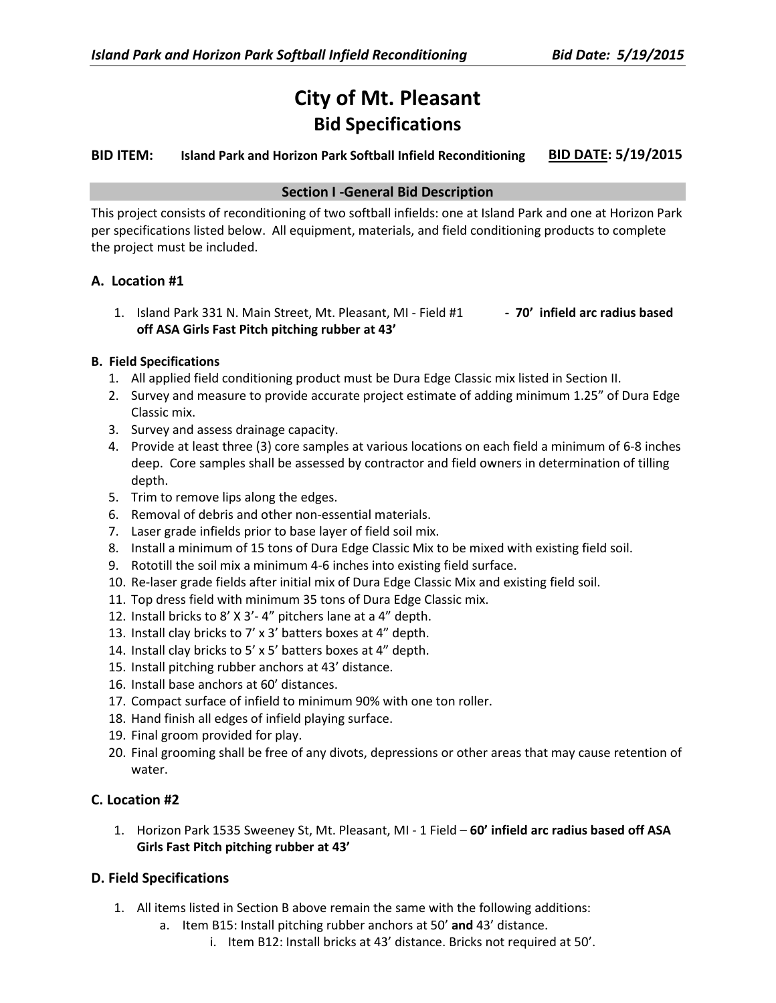# **City of Mt. Pleasant Bid Specifications**

# **BID ITEM: Island Park and Horizon Park Softball Infield Reconditioning BID DATE: 5/19/2015**

# **Section I -General Bid Description**

This project consists of reconditioning of two softball infields: one at Island Park and one at Horizon Park per specifications listed below. All equipment, materials, and field conditioning products to complete the project must be included.

# **A. Location #1**

1. Island Park 331 N. Main Street, Mt. Pleasant, MI - Field #1 **- 70' infield arc radius based off ASA Girls Fast Pitch pitching rubber at 43'**

# **B. Field Specifications**

- 1. All applied field conditioning product must be Dura Edge Classic mix listed in Section II.
- 2. Survey and measure to provide accurate project estimate of adding minimum 1.25" of Dura Edge Classic mix.
- 3. Survey and assess drainage capacity.
- 4. Provide at least three (3) core samples at various locations on each field a minimum of 6-8 inches deep. Core samples shall be assessed by contractor and field owners in determination of tilling depth.
- 5. Trim to remove lips along the edges.
- 6. Removal of debris and other non-essential materials.
- 7. Laser grade infields prior to base layer of field soil mix.
- 8. Install a minimum of 15 tons of Dura Edge Classic Mix to be mixed with existing field soil.
- 9. Rototill the soil mix a minimum 4-6 inches into existing field surface.
- 10. Re-laser grade fields after initial mix of Dura Edge Classic Mix and existing field soil.
- 11. Top dress field with minimum 35 tons of Dura Edge Classic mix.
- 12. Install bricks to 8' X 3'- 4" pitchers lane at a 4" depth.
- 13. Install clay bricks to 7' x 3' batters boxes at 4" depth.
- 14. Install clay bricks to 5' x 5' batters boxes at 4" depth.
- 15. Install pitching rubber anchors at 43' distance.
- 16. Install base anchors at 60' distances.
- 17. Compact surface of infield to minimum 90% with one ton roller.
- 18. Hand finish all edges of infield playing surface.
- 19. Final groom provided for play.
- 20. Final grooming shall be free of any divots, depressions or other areas that may cause retention of water.

# **C. Location #2**

1. Horizon Park 1535 Sweeney St, Mt. Pleasant, MI - 1 Field – **60' infield arc radius based off ASA Girls Fast Pitch pitching rubber at 43'**

# **D. Field Specifications**

- 1. All items listed in Section B above remain the same with the following additions:
	- a. Item B15: Install pitching rubber anchors at 50' **and** 43' distance.
		- i. Item B12: Install bricks at 43' distance. Bricks not required at 50'.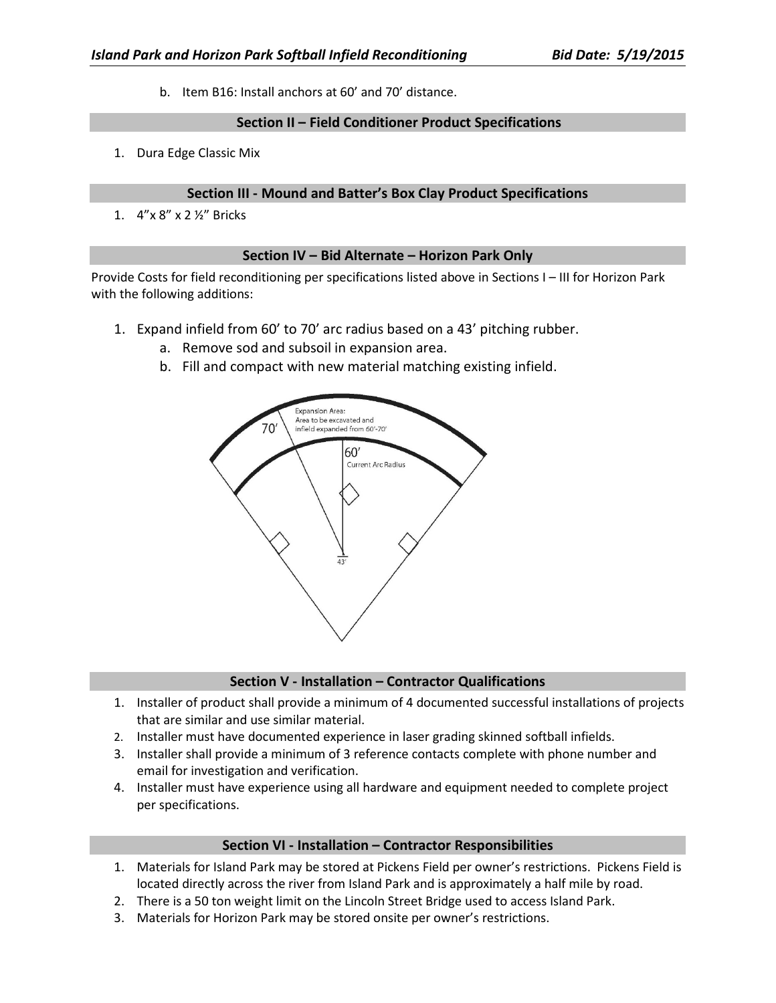b. Item B16: Install anchors at 60' and 70' distance.

#### **Section II – Field Conditioner Product Specifications**

1. Dura Edge Classic Mix

#### **Section III - Mound and Batter's Box Clay Product Specifications**

1. 4"x 8" x 2 ½" Bricks

#### **Section IV – Bid Alternate – Horizon Park Only**

Provide Costs for field reconditioning per specifications listed above in Sections I – III for Horizon Park with the following additions:

- 1. Expand infield from 60' to 70' arc radius based on a 43' pitching rubber.
	- a. Remove sod and subsoil in expansion area.
	- b. Fill and compact with new material matching existing infield.



# **Section V - Installation – Contractor Qualifications**

- 1. Installer of product shall provide a minimum of 4 documented successful installations of projects that are similar and use similar material.
- 2. Installer must have documented experience in laser grading skinned softball infields.
- 3. Installer shall provide a minimum of 3 reference contacts complete with phone number and email for investigation and verification.
- 4. Installer must have experience using all hardware and equipment needed to complete project per specifications.

#### **Section VI - Installation – Contractor Responsibilities**

- 1. Materials for Island Park may be stored at Pickens Field per owner's restrictions. Pickens Field is located directly across the river from Island Park and is approximately a half mile by road.
- 2. There is a 50 ton weight limit on the Lincoln Street Bridge used to access Island Park.
- 3. Materials for Horizon Park may be stored onsite per owner's restrictions.